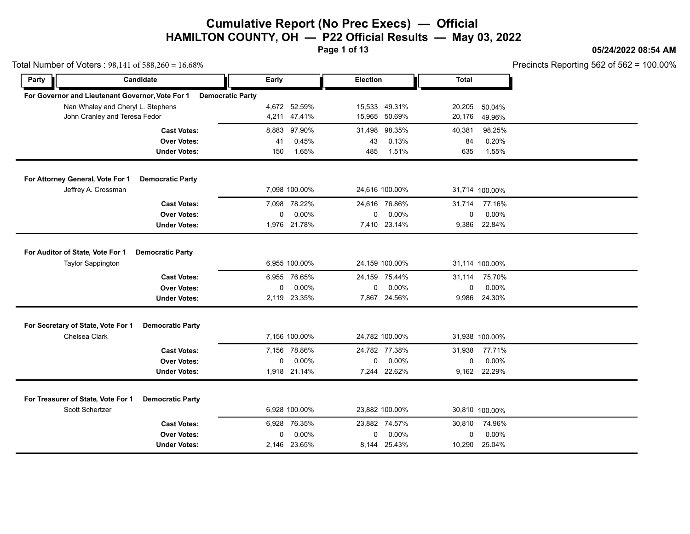**Page 1 of 13**

### **05/24/2022 08:54 AM**

Precincts Reporting 562 of 562 = 100.00%

| $0.001$ $- 10.0070$ $- 0.0070$ $- 0.0070$        |                         |       |               |                 |                |              |                | L IGAING IZAMINING OOS OF OOS - |
|--------------------------------------------------|-------------------------|-------|---------------|-----------------|----------------|--------------|----------------|---------------------------------|
| Party                                            | Candidate               | Early |               | <b>Election</b> |                | <b>Total</b> |                |                                 |
| For Governor and Lieutenant Governor, Vote For 1 | <b>Democratic Party</b> |       |               |                 |                |              |                |                                 |
| Nan Whaley and Cheryl L. Stephens                |                         |       | 4,672 52.59%  |                 | 15,533 49.31%  | 20,205       | 50.04%         |                                 |
| John Cranley and Teresa Fedor                    |                         |       | 4,211 47.41%  |                 | 15,965 50.69%  | 20,176       | 49.96%         |                                 |
|                                                  | <b>Cast Votes:</b>      |       | 8,883 97.90%  | 31,498          | 98.35%         | 40,381       | 98.25%         |                                 |
|                                                  | <b>Over Votes:</b>      | 41    | 0.45%         | 43              | 0.13%          | 84           | 0.20%          |                                 |
|                                                  | <b>Under Votes:</b>     | 150   | 1.65%         | 485             | 1.51%          | 635          | 1.55%          |                                 |
| For Attorney General, Vote For 1                 | <b>Democratic Party</b> |       |               |                 |                |              |                |                                 |
| Jeffrey A. Crossman                              |                         |       | 7,098 100.00% |                 | 24,616 100.00% |              | 31,714 100.00% |                                 |
|                                                  | <b>Cast Votes:</b>      |       | 7,098 78.22%  |                 | 24,616 76.86%  | 31,714       | 77.16%         |                                 |
|                                                  | <b>Over Votes:</b>      | 0     | 0.00%         | 0               | 0.00%          | 0            | 0.00%          |                                 |
|                                                  | <b>Under Votes:</b>     |       | 1,976 21.78%  |                 | 7,410 23.14%   |              | 9,386 22.84%   |                                 |
| For Auditor of State, Vote For 1                 | <b>Democratic Party</b> |       |               |                 |                |              |                |                                 |
| <b>Taylor Sappington</b>                         |                         |       | 6,955 100.00% |                 | 24,159 100.00% |              | 31,114 100.00% |                                 |
|                                                  | <b>Cast Votes:</b>      |       | 6,955 76.65%  |                 | 24,159 75.44%  | 31,114       | 75.70%         |                                 |
|                                                  | <b>Over Votes:</b>      | 0     | 0.00%         | 0               | 0.00%          | $\mathbf 0$  | 0.00%          |                                 |
|                                                  | <b>Under Votes:</b>     |       | 2,119 23.35%  |                 | 7,867 24.56%   | 9,986        | 24.30%         |                                 |
| For Secretary of State, Vote For 1               | <b>Democratic Party</b> |       |               |                 |                |              |                |                                 |
| Chelsea Clark                                    |                         |       | 7,156 100.00% |                 | 24,782 100.00% |              | 31,938 100.00% |                                 |
|                                                  | <b>Cast Votes:</b>      |       | 7,156 78.86%  |                 | 24,782 77.38%  | 31,938       | 77.71%         |                                 |
|                                                  | <b>Over Votes:</b>      | 0     | 0.00%         | 0               | 0.00%          | $\mathbf 0$  | 0.00%          |                                 |
|                                                  | <b>Under Votes:</b>     |       | 1,918 21.14%  |                 | 7,244 22.62%   |              | 9,162 22.29%   |                                 |
| For Treasurer of State, Vote For 1               | <b>Democratic Party</b> |       |               |                 |                |              |                |                                 |
| Scott Schertzer                                  |                         |       | 6,928 100.00% |                 | 23,882 100.00% |              | 30,810 100.00% |                                 |
|                                                  | <b>Cast Votes:</b>      |       | 6,928 76.35%  |                 | 23,882 74.57%  | 30,810       | 74.96%         |                                 |
|                                                  | <b>Over Votes:</b>      | 0     | 0.00%         | 0               | 0.00%          | 0            | 0.00%          |                                 |
|                                                  | <b>Under Votes:</b>     |       | 2,146 23.65%  |                 | 8,144 25.43%   | 10,290       | 25.04%         |                                 |
|                                                  |                         |       |               |                 |                |              |                |                                 |

Total Number of Voters  $: 98,141$  of 588,260 = 16.68%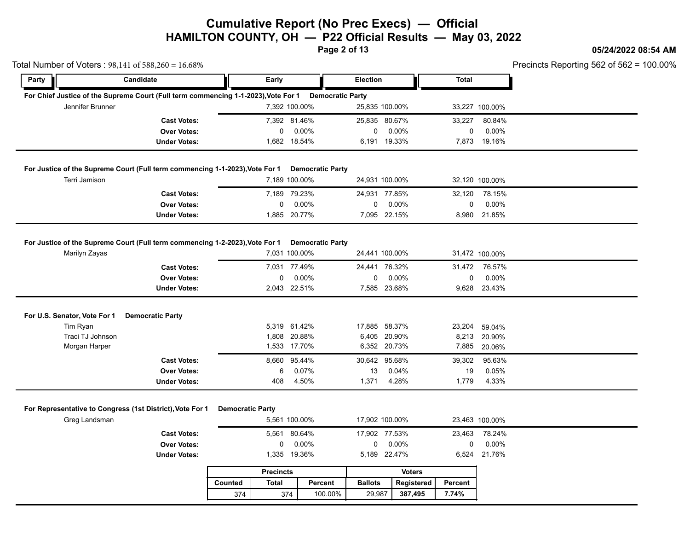**Page 2 of 13**

### **05/24/2022 08:54 AM**

|                                          | Total Number of Voters: 98,141 of 588,260 = 16.68%                                 |                         |                            |                         |                   |               |              |                       | Precincts Reporting 562 of 562 = |
|------------------------------------------|------------------------------------------------------------------------------------|-------------------------|----------------------------|-------------------------|-------------------|---------------|--------------|-----------------------|----------------------------------|
| Party                                    | Candidate                                                                          | Early                   |                            |                         | <b>Election</b>   |               | <b>Total</b> |                       |                                  |
|                                          | For Chief Justice of the Supreme Court (Full term commencing 1-1-2023), Vote For 1 |                         |                            | <b>Democratic Party</b> |                   |               |              |                       |                                  |
| Jennifer Brunner                         |                                                                                    |                         | 7,392 100.00%              |                         | 25,835 100.00%    |               |              | 33,227 100.00%        |                                  |
|                                          | <b>Cast Votes:</b>                                                                 |                         | 7,392 81.46%               |                         | 25,835 80.67%     |               | 33,227       | 80.84%                |                                  |
|                                          | <b>Over Votes:</b>                                                                 |                         | 0<br>$0.00\%$              |                         | 0                 | 0.00%         | $\mathbf 0$  | $0.00\%$              |                                  |
|                                          | <b>Under Votes:</b>                                                                |                         | 1,682 18.54%               |                         | 6,191 19.33%      |               |              | 7,873 19.16%          |                                  |
|                                          | For Justice of the Supreme Court (Full term commencing 1-1-2023), Vote For 1       |                         |                            | <b>Democratic Party</b> |                   |               |              |                       |                                  |
| Terri Jamison                            |                                                                                    |                         | 7,189 100.00%              |                         | 24,931 100.00%    |               |              | 32,120 100.00%        |                                  |
|                                          | <b>Cast Votes:</b>                                                                 |                         | 7,189 79.23%               |                         | 24,931 77.85%     |               | 32,120       | 78.15%                |                                  |
|                                          | <b>Over Votes:</b>                                                                 |                         | 0<br>0.00%                 |                         | 0                 | 0.00%         | $\mathsf{O}$ | 0.00%                 |                                  |
|                                          | <b>Under Votes:</b>                                                                |                         | 1,885 20.77%               |                         | 7,095 22.15%      |               |              | 8,980 21.85%          |                                  |
|                                          | For Justice of the Supreme Court (Full term commencing 1-2-2023), Vote For 1       |                         |                            | <b>Democratic Party</b> |                   |               |              |                       |                                  |
| Marilyn Zayas                            |                                                                                    |                         | 7,031 100.00%              |                         | 24,441 100.00%    |               |              | 31,472 100.00%        |                                  |
|                                          | <b>Cast Votes:</b>                                                                 |                         | 7,031 77.49%               |                         | 24,441 76.32%     |               |              | 31,472 76.57%         |                                  |
|                                          | <b>Over Votes:</b>                                                                 |                         | 0<br>$0.00\%$              |                         | 0                 | 0.00%         | 0            | 0.00%                 |                                  |
|                                          | <b>Under Votes:</b>                                                                |                         | 2,043 22.51%               |                         | 7,585 23.68%      |               |              | 9,628 23.43%          |                                  |
|                                          |                                                                                    |                         |                            |                         |                   |               |              |                       |                                  |
| For U.S. Senator, Vote For 1<br>Tim Ryan | <b>Democratic Party</b>                                                            |                         | 5,319 61.42%               |                         | 17,885 58.37%     |               | 23,204       | 59.04%                |                                  |
| Traci TJ Johnson                         |                                                                                    |                         | 1,808 20.88%               |                         | 6,405 20.90%      |               | 8,213        | 20.90%                |                                  |
| Morgan Harper                            |                                                                                    |                         | 1,533 17.70%               |                         | 6,352 20.73%      |               |              | 7,885 20.06%          |                                  |
|                                          | <b>Cast Votes:</b>                                                                 | 8,660                   | 95.44%                     |                         | 30,642 95.68%     |               | 39,302       | 95.63%                |                                  |
|                                          | <b>Over Votes:</b>                                                                 |                         | 0.07%<br>6                 |                         | 13                | 0.04%         | 19           | 0.05%                 |                                  |
|                                          | <b>Under Votes:</b>                                                                | 408                     | 4.50%                      |                         | 1,371             | 4.28%         | 1,779        | 4.33%                 |                                  |
|                                          |                                                                                    |                         |                            |                         |                   |               |              |                       |                                  |
|                                          |                                                                                    |                         |                            |                         |                   |               |              |                       |                                  |
|                                          | For Representative to Congress (1st District), Vote For 1                          | <b>Democratic Party</b> | 5,561 100.00%              |                         | 17,902 100.00%    |               |              |                       |                                  |
| Greg Landsman                            |                                                                                    |                         |                            |                         |                   |               |              | 23,463 100.00%        |                                  |
|                                          | <b>Cast Votes:</b>                                                                 |                         | 5,561 80.64%               |                         | 17,902 77.53%     |               | 23,463       | 78.24%                |                                  |
|                                          | <b>Over Votes:</b><br><b>Under Votes:</b>                                          |                         | 0.00%<br>0<br>1,335 19.36% |                         | 0<br>5,189 22.47% | 0.00%         | $\mathbf 0$  | 0.00%<br>6,524 21.76% |                                  |
|                                          |                                                                                    | <b>Precincts</b>        |                            |                         |                   | <b>Voters</b> |              |                       |                                  |
|                                          |                                                                                    | Counted<br><b>Total</b> |                            | Percent                 | <b>Ballots</b>    | Registered    | Percent      |                       |                                  |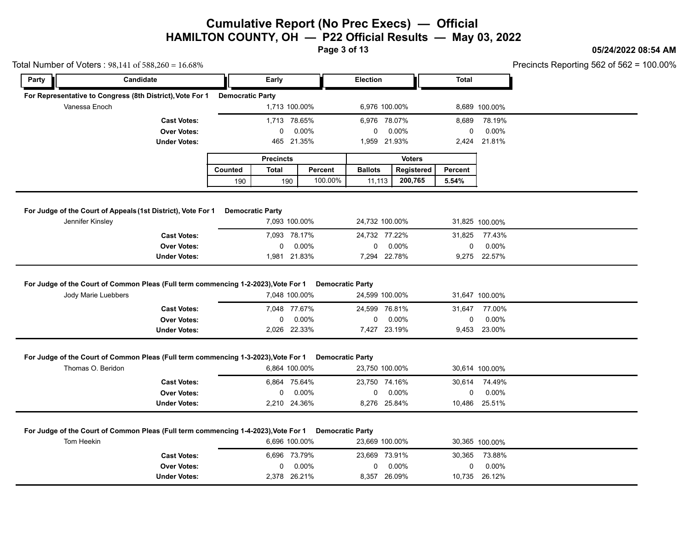**Page 3 of 13**

### **05/24/2022 08:54 AM**

|            | Total Number of Voters: 98,141 of 588,260 = 16.68%                                                        |                         |                            |                         |                |                           |               |                       |                           | Precincts Reporting 562 of 562 = |
|------------|-----------------------------------------------------------------------------------------------------------|-------------------------|----------------------------|-------------------------|----------------|---------------------------|---------------|-----------------------|---------------------------|----------------------------------|
| Party      | Candidate                                                                                                 | Early                   |                            |                         | Election       |                           |               | <b>Total</b>          |                           |                                  |
|            | For Representative to Congress (8th District), Vote For 1                                                 | <b>Democratic Party</b> |                            |                         |                |                           |               |                       |                           |                                  |
|            | Vanessa Enoch                                                                                             |                         | 1,713 100.00%              |                         |                | 6,976 100.00%             |               |                       | 8,689 100.00%             |                                  |
|            | <b>Cast Votes:</b>                                                                                        |                         | 1,713 78.65%               |                         |                | 6,976 78.07%              |               | 8,689                 | 78.19%                    |                                  |
|            | <b>Over Votes:</b>                                                                                        |                         | 0.00%<br>0                 |                         | 0              | $0.00\%$                  |               | 0                     | 0.00%                     |                                  |
|            | <b>Under Votes:</b>                                                                                       |                         | 465 21.35%                 |                         |                | 1,959 21.93%              |               |                       | 2,424 21.81%              |                                  |
|            |                                                                                                           | <b>Precincts</b>        |                            |                         |                |                           | <b>Voters</b> |                       |                           |                                  |
|            |                                                                                                           | <b>Total</b><br>Counted |                            | Percent                 | <b>Ballots</b> |                           | Registered    | Percent               |                           |                                  |
|            |                                                                                                           | 190                     | 190                        | 100.00%                 | 11,113         |                           | 200,765       | 5.54%                 |                           |                                  |
|            |                                                                                                           |                         |                            |                         |                |                           |               |                       |                           |                                  |
|            | For Judge of the Court of Appeals (1st District), Vote For 1                                              | <b>Democratic Party</b> |                            |                         |                |                           |               |                       |                           |                                  |
|            | Jennifer Kinsley                                                                                          |                         | 7,093 100.00%              |                         |                | 24,732 100.00%            |               |                       | 31,825 100.00%            |                                  |
|            | <b>Cast Votes:</b>                                                                                        |                         | 7,093 78.17%               |                         |                | 24,732 77.22%             |               | 31,825                | 77.43%                    |                                  |
|            |                                                                                                           |                         |                            |                         | 0              | 0.00%                     |               | 0                     | $0.00\%$                  |                                  |
|            | <b>Over Votes:</b>                                                                                        |                         | $0.00\%$<br>0              |                         |                |                           |               |                       |                           |                                  |
|            | <b>Under Votes:</b><br>For Judge of the Court of Common Pleas (Full term commencing 1-2-2023), Vote For 1 |                         | 1,981 21.83%               | <b>Democratic Party</b> |                | 7,294 22.78%              |               |                       | 9,275 22.57%              |                                  |
|            | Jody Marie Luebbers                                                                                       |                         | 7,048 100.00%              |                         |                | 24,599 100.00%            |               |                       | 31,647 100.00%            |                                  |
|            | <b>Cast Votes:</b>                                                                                        |                         | 7,048 77.67%               |                         |                | 24,599 76.81%             |               | 31,647                | 77.00%                    |                                  |
|            | <b>Over Votes:</b>                                                                                        |                         | 0.00%<br>0                 |                         | 0              | $0.00\%$                  |               | 0                     | 0.00%                     |                                  |
|            | <b>Under Votes:</b>                                                                                       |                         | 2,026 22.33%               |                         |                | 7,427 23.19%              |               |                       | 9,453 23.00%              |                                  |
|            |                                                                                                           |                         |                            |                         |                |                           |               |                       |                           |                                  |
|            | For Judge of the Court of Common Pleas (Full term commencing 1-3-2023), Vote For 1<br>Thomas O. Beridon   |                         | 6.864 100.00%              | <b>Democratic Party</b> |                |                           |               |                       |                           |                                  |
|            |                                                                                                           |                         |                            |                         |                | 23,750 100.00%            |               |                       | 30,614 100.00%            |                                  |
|            | <b>Cast Votes:</b>                                                                                        |                         | 6,864 75.64%               |                         |                | 23,750 74.16%             |               | 30,614                | 74.49%                    |                                  |
|            | <b>Over Votes:</b><br><b>Under Votes:</b>                                                                 |                         | 0.00%<br>0<br>2,210 24.36% |                         | 0              | $0.00\%$<br>8,276 25.84%  |               | 0                     | $0.00\%$<br>10,486 25.51% |                                  |
|            |                                                                                                           |                         |                            |                         |                |                           |               |                       |                           |                                  |
|            |                                                                                                           |                         |                            |                         |                |                           |               |                       |                           |                                  |
| Tom Heekin | For Judge of the Court of Common Pleas (Full term commencing 1-4-2023), Vote For 1                        |                         | 6,696 100.00%              | <b>Democratic Party</b> |                | 23,669 100.00%            |               |                       | 30,365 100.00%            |                                  |
|            |                                                                                                           |                         |                            |                         |                |                           |               |                       |                           |                                  |
|            | <b>Cast Votes:</b><br><b>Over Votes:</b>                                                                  |                         | 6,696 73.79%<br>0.00%<br>0 |                         | 0              | 23,669 73.91%<br>$0.00\%$ |               | 30,365<br>$\mathbf 0$ | 73.88%<br>0.00%           |                                  |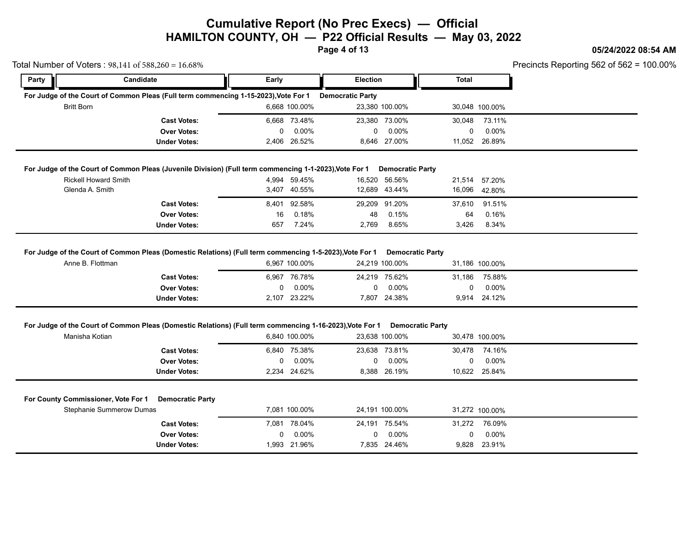**Page 4 of 13**

### **05/24/2022 08:54 AM**

| Party             | Candidate                                                                                                                   | Early |                          | <b>Election</b>         |                                           | <b>Total</b> |                    |  |
|-------------------|-----------------------------------------------------------------------------------------------------------------------------|-------|--------------------------|-------------------------|-------------------------------------------|--------------|--------------------|--|
|                   | For Judge of the Court of Common Pleas (Full term commencing 1-15-2023), Vote For 1                                         |       |                          | <b>Democratic Party</b> |                                           |              |                    |  |
| <b>Britt Born</b> |                                                                                                                             |       | 6.668 100.00%            |                         | 23,380 100.00%                            |              | 30,048 100.00%     |  |
|                   | <b>Cast Votes:</b>                                                                                                          |       | 6,668 73.48%             |                         | 23,380 73.00%                             | 30,048       | 73.11%             |  |
|                   | <b>Over Votes:</b>                                                                                                          | 0     | 0.00%                    | 0                       | $0.00\%$                                  | 0            | $0.00\%$           |  |
|                   | <b>Under Votes:</b>                                                                                                         |       | 2,406 26.52%             |                         | 8,646 27.00%                              |              | 11,052 26.89%      |  |
|                   | For Judge of the Court of Common Pleas (Juvenile Division) (Full term commencing 1-1-2023), Vote For 1                      |       |                          |                         | <b>Democratic Party</b>                   |              |                    |  |
|                   | <b>Rickell Howard Smith</b>                                                                                                 |       | 4,994 59.45%             |                         | 16,520 56.56%                             | 21,514       | 57.20%             |  |
|                   | Glenda A. Smith                                                                                                             |       | 3,407 40.55%             |                         | 12,689 43.44%                             | 16,096       | 42.80%             |  |
|                   | <b>Cast Votes:</b>                                                                                                          |       | 8,401 92.58%             |                         | 29,209 91.20%                             | 37,610       | 91.51%             |  |
|                   | <b>Over Votes:</b>                                                                                                          | 16    | 0.18%                    | 48                      | 0.15%                                     | 64           | 0.16%              |  |
|                   | <b>Under Votes:</b>                                                                                                         | 657   | 7.24%                    | 2,769                   | 8.65%                                     | 3,426        | 8.34%              |  |
|                   | For Judge of the Court of Common Pleas (Domestic Relations) (Full term commencing 1-5-2023), Vote For 1<br>Anne B. Flottman |       | 6,967 100.00%            |                         | <b>Democratic Party</b><br>24,219 100.00% |              | 31,186 100.00%     |  |
|                   | <b>Cast Votes:</b><br><b>Over Votes:</b>                                                                                    | 0     | 6,967 76.78%<br>$0.00\%$ | 0                       | 24,219 75.62%<br>$0.00\%$                 | 31,186<br>0  | 75.88%<br>$0.00\%$ |  |
|                   | <b>Under Votes:</b>                                                                                                         |       | 2,107 23.22%             |                         | 7,807 24.38%                              |              | 9,914 24.12%       |  |
|                   | For Judge of the Court of Common Pleas (Domestic Relations) (Full term commencing 1-16-2023), Vote For 1                    |       |                          |                         | <b>Democratic Party</b>                   |              |                    |  |
|                   | Manisha Kotian                                                                                                              |       | 6,840 100.00%            |                         | 23,638 100.00%                            |              | 30,478 100.00%     |  |
|                   | <b>Cast Votes:</b>                                                                                                          |       | 6,840 75.38%             |                         | 23,638 73.81%                             | 30,478       | 74.16%             |  |
|                   | <b>Over Votes:</b>                                                                                                          | 0     | $0.00\%$                 | 0                       | $0.00\%$                                  | 0            | $0.00\%$           |  |
|                   | Under Votes:                                                                                                                |       | 2,234 24.62%             |                         | 8,388 26.19%                              |              | 10,622 25.84%      |  |
|                   | For County Commissioner, Vote For 1<br><b>Democratic Party</b>                                                              |       |                          |                         |                                           |              |                    |  |
|                   | Stephanie Summerow Dumas                                                                                                    |       | 7,081 100.00%            |                         | 24,191 100.00%                            |              | 31,272 100.00%     |  |
|                   | <b>Cast Votes:</b>                                                                                                          |       | 7,081 78.04%             |                         | 24,191 75.54%                             | 31,272       | 76.09%             |  |
|                   | <b>Over Votes:</b>                                                                                                          | 0     | 0.00%                    | 0                       | $0.00\%$                                  | 0            | 0.00%              |  |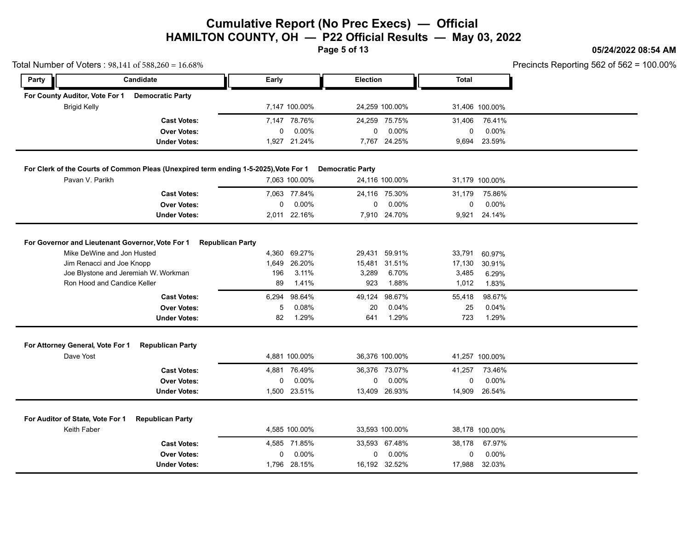**Page 5 of 13**

### **05/24/2022 08:54 AM**

| Precincts Reporting 562 of 562 = $100.00\%$ |  |  |  |
|---------------------------------------------|--|--|--|
|---------------------------------------------|--|--|--|

|                                                 |                                                          | Total Number of Voters: 98,141 of 588,260 = 16.68%                                                      |                                        |                                                      |                                     |                                                             |                                                 |                                                      | Precincts Reporting 562 of 562 = |
|-------------------------------------------------|----------------------------------------------------------|---------------------------------------------------------------------------------------------------------|----------------------------------------|------------------------------------------------------|-------------------------------------|-------------------------------------------------------------|-------------------------------------------------|------------------------------------------------------|----------------------------------|
| Party                                           |                                                          | <b>Candidate</b>                                                                                        | Early                                  |                                                      | Election                            |                                                             | <b>Total</b>                                    |                                                      |                                  |
| For County Auditor, Vote For 1                  |                                                          | <b>Democratic Party</b>                                                                                 |                                        |                                                      |                                     |                                                             |                                                 |                                                      |                                  |
| <b>Brigid Kelly</b>                             |                                                          |                                                                                                         |                                        | 7,147 100.00%                                        |                                     | 24,259 100.00%                                              |                                                 | 31,406 100.00%                                       |                                  |
|                                                 |                                                          | <b>Cast Votes:</b>                                                                                      |                                        | 7,147 78.76%                                         |                                     | 24,259 75.75%                                               | 31,406                                          | 76.41%                                               |                                  |
|                                                 |                                                          | <b>Over Votes:</b>                                                                                      | 0                                      | 0.00%                                                | $\mathbf 0$                         | 0.00%                                                       | 0                                               | 0.00%                                                |                                  |
|                                                 |                                                          | <b>Under Votes:</b>                                                                                     |                                        | 1,927 21.24%                                         |                                     | 7,767 24.25%                                                |                                                 | 9,694 23.59%                                         |                                  |
|                                                 |                                                          | For Clerk of the Courts of Common Pleas (Unexpired term ending 1-5-2025), Vote For 1                    |                                        |                                                      | <b>Democratic Party</b>             |                                                             |                                                 |                                                      |                                  |
|                                                 | Pavan V. Parikh                                          |                                                                                                         |                                        | 7.063 100.00%                                        |                                     | 24,116 100.00%                                              |                                                 | 31,179 100.00%                                       |                                  |
|                                                 |                                                          | <b>Cast Votes:</b>                                                                                      |                                        | 7,063 77.84%                                         |                                     | 24,116 75.30%                                               | 31,179                                          | 75.86%                                               |                                  |
|                                                 |                                                          | <b>Over Votes:</b>                                                                                      | 0                                      | 0.00%                                                | 0                                   | $0.00\%$                                                    | 0                                               | 0.00%                                                |                                  |
|                                                 |                                                          | <b>Under Votes:</b>                                                                                     |                                        | 2,011 22.16%                                         |                                     | 7,910 24.70%                                                |                                                 | 9,921 24.14%                                         |                                  |
|                                                 | Jim Renacci and Joe Knopp<br>Ron Hood and Candice Keller | Joe Blystone and Jeremiah W. Workman<br><b>Cast Votes:</b><br><b>Over Votes:</b><br><b>Under Votes:</b> | 1.649<br>196<br>89<br>6,294<br>5<br>82 | 26.20%<br>3.11%<br>1.41%<br>98.64%<br>0.08%<br>1.29% | 3,289<br>923<br>49,124<br>20<br>641 | 15,481 31.51%<br>6.70%<br>1.88%<br>98.67%<br>0.04%<br>1.29% | 17,130<br>3,485<br>1,012<br>55,418<br>25<br>723 | 30.91%<br>6.29%<br>1.83%<br>98.67%<br>0.04%<br>1.29% |                                  |
| For Attorney General, Vote For 1                |                                                          | <b>Republican Party</b>                                                                                 |                                        |                                                      |                                     |                                                             |                                                 |                                                      |                                  |
| Dave Yost                                       |                                                          |                                                                                                         |                                        | 4.881 100.00%                                        |                                     | 36,376 100.00%                                              |                                                 | 41,257 100.00%                                       |                                  |
|                                                 |                                                          | <b>Cast Votes:</b>                                                                                      |                                        | 4,881 76.49%                                         |                                     | 36,376 73.07%                                               | 41,257                                          | 73.46%                                               |                                  |
|                                                 |                                                          | <b>Over Votes:</b>                                                                                      | 0                                      | 0.00%                                                | 0                                   | 0.00%                                                       | 0                                               | 0.00%                                                |                                  |
|                                                 |                                                          | <b>Under Votes:</b>                                                                                     |                                        | 1,500 23.51%                                         |                                     | 13,409 26.93%                                               |                                                 | 14,909 26.54%                                        |                                  |
| For Auditor of State, Vote For 1<br>Keith Faber |                                                          | <b>Republican Party</b>                                                                                 |                                        | 4,585 100.00%                                        |                                     | 33,593 100.00%                                              |                                                 | 38,178 100.00%                                       |                                  |
|                                                 |                                                          | <b>Cast Votes:</b>                                                                                      |                                        | 4,585 71.85%                                         |                                     | 33,593 67.48%                                               | 38,178                                          | 67.97%                                               |                                  |
|                                                 |                                                          | <b>Over Votes:</b>                                                                                      | 0                                      | 0.00%                                                | 0                                   | 0.00%                                                       | 0                                               | 0.00%                                                |                                  |
|                                                 |                                                          | <b>Under Votes:</b>                                                                                     |                                        | 1,796 28.15%                                         |                                     | 16,192 32.52%                                               |                                                 | 17,988 32.03%                                        |                                  |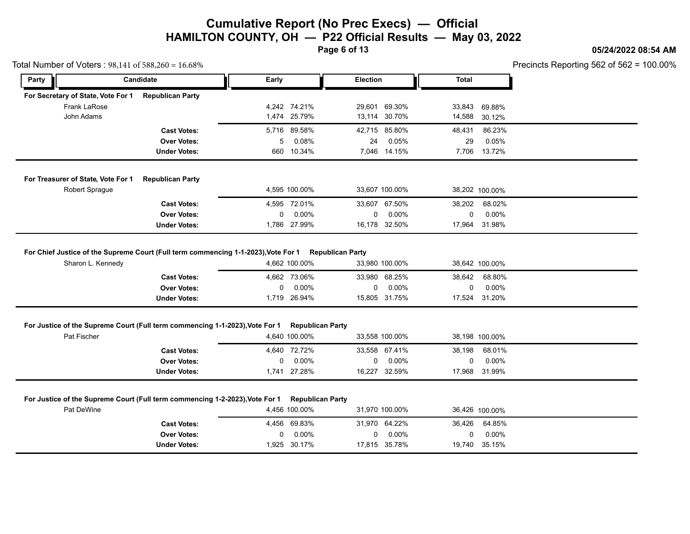**Page 6 of 13**

### **05/24/2022 08:54 AM**

|   |        |        | Precincts Reporting 562 of 562 = $100.00\%$ |  |
|---|--------|--------|---------------------------------------------|--|
| ь | Total  |        |                                             |  |
|   |        |        |                                             |  |
|   | 33,843 | 69.88% |                                             |  |
|   | 14,588 | 30.12% |                                             |  |
|   | 48,431 | 86.23% |                                             |  |
|   | 29     | 0.05%  |                                             |  |
|   | 7,706  | 13.72% |                                             |  |
|   |        |        |                                             |  |

|  |  | Total Number of Voters: $98,141$ of $588,260 = 16.68\%$ |
|--|--|---------------------------------------------------------|
|--|--|---------------------------------------------------------|

| Party                              |                | Candidate                                                                    | Early       |                                          | <b>Election</b> |                           | <b>Total</b> |                        |
|------------------------------------|----------------|------------------------------------------------------------------------------|-------------|------------------------------------------|-----------------|---------------------------|--------------|------------------------|
| For Secretary of State, Vote For 1 |                | <b>Republican Party</b>                                                      |             |                                          |                 |                           |              |                        |
|                                    | Frank LaRose   |                                                                              |             | 4,242 74.21%                             | 29.601          | 69.30%                    | 33,843       | 69.88%                 |
| John Adams                         |                |                                                                              |             | 1,474 25.79%                             |                 | 13,114 30.70%             | 14,588       | 30.12%                 |
|                                    |                | <b>Cast Votes:</b>                                                           |             | 5,716 89.58%                             |                 | 42,715 85.80%             | 48,431       | 86.23%                 |
|                                    |                | <b>Over Votes:</b>                                                           | 5           | 0.08%                                    | 24              | 0.05%                     | 29           | 0.05%                  |
|                                    |                | <b>Under Votes:</b>                                                          |             | 660 10.34%                               |                 | 7,046 14.15%              |              | 7,706 13.72%           |
| For Treasurer of State, Vote For 1 |                | <b>Republican Party</b>                                                      |             |                                          |                 |                           |              |                        |
|                                    | Robert Sprague |                                                                              |             | 4,595 100.00%                            |                 | 33,607 100.00%            |              | 38,202 100.00%         |
|                                    |                | <b>Cast Votes:</b>                                                           |             | 4,595 72.01%                             |                 | 33,607 67.50%             | 38,202       | 68.02%                 |
|                                    |                | <b>Over Votes:</b>                                                           | $\mathbf 0$ | $0.00\%$                                 | 0               | $0.00\%$                  | $\Omega$     | $0.00\%$               |
|                                    |                | <b>Under Votes:</b>                                                          |             | 1,786 27.99%                             |                 | 16,178 32.50%             |              | 17,964 31.98%          |
|                                    |                | <b>Over Votes:</b><br><b>Under Votes:</b>                                    | 0           | 0.00%<br>1,719 26.94%                    | 0               | $0.00\%$<br>15,805 31.75% | 0            | 0.00%<br>17,524 31.20% |
|                                    |                | For Justice of the Supreme Court (Full term commencing 1-1-2023), Vote For 1 |             | <b>Republican Party</b>                  |                 |                           |              |                        |
| Pat Fischer                        |                |                                                                              |             | 4,640 100.00%                            |                 | 33,558 100.00%            |              | 38,198 100.00%         |
|                                    |                | <b>Cast Votes:</b>                                                           |             | 4,640 72.72%                             |                 | 33,558 67.41%             | 38,198       | 68.01%                 |
|                                    |                | <b>Over Votes:</b>                                                           | $\mathbf 0$ | $0.00\%$                                 | 0               | 0.00%                     | 0            | $0.00\%$               |
|                                    |                | <b>Under Votes:</b>                                                          |             | 1,741 27.28%                             |                 | 16,227 32.59%             |              | 17,968 31.99%          |
|                                    |                |                                                                              |             |                                          |                 |                           |              |                        |
|                                    |                |                                                                              |             |                                          |                 |                           |              |                        |
| Pat DeWine                         |                | For Justice of the Supreme Court (Full term commencing 1-2-2023), Vote For 1 |             | <b>Republican Party</b><br>4,456 100.00% |                 | 31,970 100.00%            |              | 36,426 100.00%         |
|                                    |                | <b>Cast Votes:</b>                                                           |             | 4.456 69.83%                             |                 | 31,970 64.22%             | 36,426       | 64.85%                 |
|                                    |                | <b>Over Votes:</b>                                                           | 0           | $0.00\%$                                 | 0               | $0.00\%$                  | 0            | $0.00\%$               |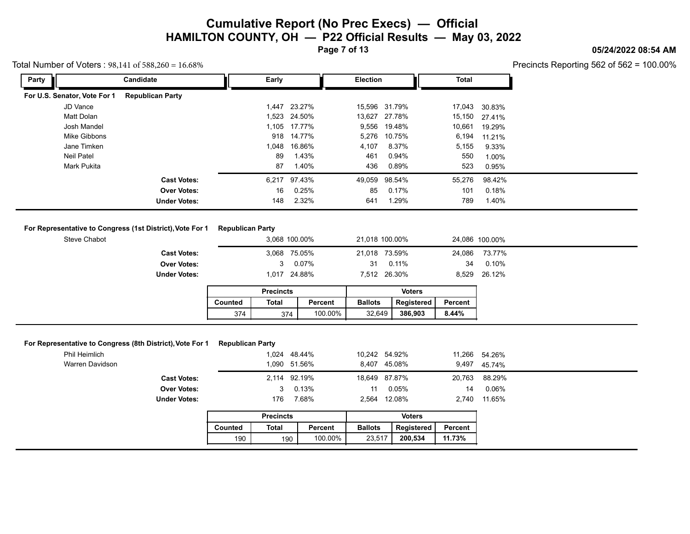**Page 7 of 13**

### **05/24/2022 08:54 AM**

Precincts Reporting 562 of 562 = 100.00%

| Party                        | Candidate               | Early |              | <b>Election</b> |               | Total  |               |
|------------------------------|-------------------------|-------|--------------|-----------------|---------------|--------|---------------|
| For U.S. Senator, Vote For 1 | <b>Republican Party</b> |       |              |                 |               |        |               |
| JD Vance                     |                         |       | 1,447 23.27% |                 | 15,596 31.79% |        | 17,043 30.83% |
| Matt Dolan                   |                         |       | 1,523 24.50% |                 | 13,627 27.78% |        | 15,150 27.41% |
| Josh Mandel                  |                         |       | 1,105 17.77% |                 | 9,556 19.48%  | 10,661 | 19.29%        |
| Mike Gibbons                 |                         | 918   | 14.77%       | 5,276           | 10.75%        | 6,194  | 11.21%        |
| Jane Timken                  |                         | 1,048 | 16.86%       | 4,107           | 8.37%         | 5,155  | 9.33%         |
| Neil Patel                   |                         | 89    | 1.43%        | 461             | 0.94%         | 550    | 1.00%         |
| Mark Pukita                  |                         | 87    | 1.40%        | 436             | 0.89%         | 523    | 0.95%         |
|                              | <b>Cast Votes:</b>      |       | 6,217 97.43% | 49,059          | 98.54%        | 55,276 | 98.42%        |
|                              | <b>Over Votes:</b>      | 16    | 0.25%        | 85              | 0.17%         | 101    | 0.18%         |
|                              | <b>Under Votes:</b>     | 148   | 2.32%        | 641             | 1.29%         | 789    | 1.40%         |

### **For Representative to Congress (1st District), Vote For 1 Republican Party**

|                                                          |                         |                  |                |                | .              |         | $\sim$ $\sim$ , $\sim$ |  |
|----------------------------------------------------------|-------------------------|------------------|----------------|----------------|----------------|---------|------------------------|--|
| <b>Under Votes:</b>                                      |                         | 148              | 2.32%          | 641            | 1.29%          | 789     | 1.40%                  |  |
|                                                          |                         |                  |                |                |                |         |                        |  |
| or Representative to Congress (1st District), Vote For 1 | <b>Republican Party</b> |                  |                |                |                |         |                        |  |
| Steve Chabot                                             |                         |                  | 3,068 100.00%  |                | 21,018 100.00% |         | 24,086 100.00%         |  |
| <b>Cast Votes:</b>                                       |                         |                  | 3,068 75.05%   |                | 21,018 73.59%  | 24,086  | 73.77%                 |  |
| <b>Over Votes:</b>                                       |                         | 3                | 0.07%          | 31             | 0.11%          | 34      | $0.10\%$               |  |
| <b>Under Votes:</b>                                      |                         |                  | 1,017 24.88%   |                | 7,512 26.30%   |         | 8,529 26.12%           |  |
|                                                          |                         | <b>Precincts</b> |                |                | <b>Voters</b>  |         |                        |  |
|                                                          | Counted                 | Total            | Percent        | <b>Ballots</b> | Registered     | Percent |                        |  |
|                                                          | 374                     |                  | 100.00%<br>374 | 32,649         | 386,903        | 8.44%   |                        |  |

### **For Representative to Congress (8th District), Vote For 1 Republican Party**

| For Representative to Congress (8th District), Vote For 1<br><b>Republican Party</b> |       |         |                                                                                    |               |                                                                                                  |                                                |
|--------------------------------------------------------------------------------------|-------|---------|------------------------------------------------------------------------------------|---------------|--------------------------------------------------------------------------------------------------|------------------------------------------------|
|                                                                                      |       |         |                                                                                    |               |                                                                                                  |                                                |
|                                                                                      |       |         |                                                                                    |               |                                                                                                  | 9,497 45.74%                                   |
|                                                                                      |       |         |                                                                                    |               |                                                                                                  | 88.29%                                         |
|                                                                                      |       |         |                                                                                    | $0.05\%$      | 14                                                                                               | 0.06%                                          |
|                                                                                      | 176   | 7.68%   |                                                                                    |               |                                                                                                  | 11.65%                                         |
|                                                                                      |       |         |                                                                                    | <b>Voters</b> |                                                                                                  |                                                |
| Counted                                                                              | Total | Percent |                                                                                    |               | Percent                                                                                          |                                                |
| 190                                                                                  |       |         |                                                                                    | 200,534       | 11.73%                                                                                           |                                                |
|                                                                                      |       |         | 1,024 48.44%<br>1,090 51.56%<br>2,114 92.19%<br>3 0.13%<br><b>Precincts</b><br>190 | 100.00%       | 10,242 54.92%<br>8,407 45.08%<br>18,649 87.87%<br>11<br>2,564 12.08%<br><b>Ballots</b><br>23,517 | 11,266 54.26%<br>20,763<br>2,740<br>Registered |

|         |       |         | Voters         |            |         |  |  |
|---------|-------|---------|----------------|------------|---------|--|--|
| Counted | Total | Percent | <b>Ballots</b> | Registered | Percent |  |  |
| 190     | 190   | 100.00% | 23.517         | 200.534    | 11.73%  |  |  |

### Total Number of Voters : 98,141 of 588,260 = 16.68%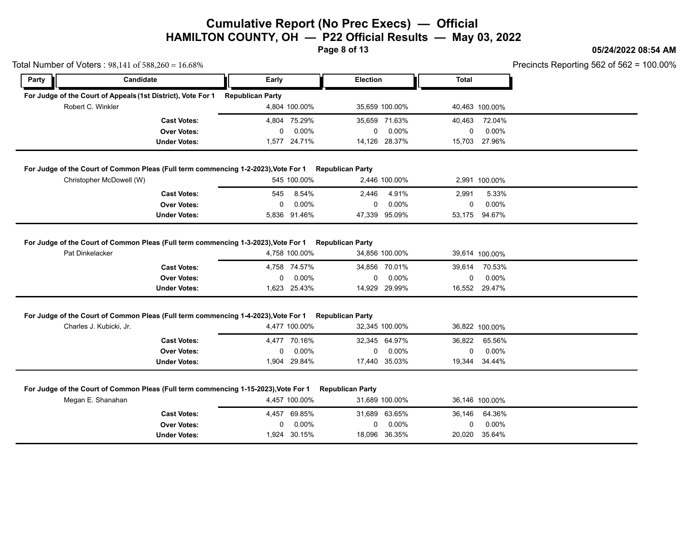**Page 8 of 13**

### **05/24/2022 08:54 AM**

| Precincts Reporting 562 of 562 = $100.00\%$ |  |  |  |
|---------------------------------------------|--|--|--|
|---------------------------------------------|--|--|--|

|       | Total Number of Voters: 98,141 of 588,260 = 16.68%                                                                              |                         |                       |                              |                           |              |                        | Precincts Reporting 562 of 562 = |
|-------|---------------------------------------------------------------------------------------------------------------------------------|-------------------------|-----------------------|------------------------------|---------------------------|--------------|------------------------|----------------------------------|
| Party | Candidate                                                                                                                       | Early                   |                       | Election                     |                           | <b>Total</b> |                        |                                  |
|       | For Judge of the Court of Appeals (1st District), Vote For 1                                                                    | <b>Republican Party</b> |                       |                              |                           |              |                        |                                  |
|       | Robert C. Winkler                                                                                                               |                         | 4,804 100.00%         |                              | 35,659 100.00%            |              | 40,463 100.00%         |                                  |
|       | <b>Cast Votes:</b>                                                                                                              |                         | 4,804 75.29%          |                              | 35,659 71.63%             | 40,463       | 72.04%                 |                                  |
|       | <b>Over Votes:</b>                                                                                                              | 0                       | 0.00%                 | 0                            | 0.00%                     | 0            | 0.00%                  |                                  |
|       | <b>Under Votes:</b>                                                                                                             |                         | 1,577 24.71%          |                              | 14,126 28.37%             |              | 15,703 27.96%          |                                  |
|       | For Judge of the Court of Common Pleas (Full term commencing 1-2-2023), Vote For 1                                              |                         |                       | <b>Republican Party</b>      |                           |              |                        |                                  |
|       | Christopher McDowell (W)                                                                                                        |                         | 545 100.00%           |                              | 2,446 100.00%             |              | 2,991 100.00%          |                                  |
|       | <b>Cast Votes:</b>                                                                                                              | 545                     | 8.54%                 | 2,446                        | 4.91%                     | 2,991        | 5.33%                  |                                  |
|       | <b>Over Votes:</b>                                                                                                              | 0                       | 0.00%                 | 0                            | 0.00%                     | 0            | 0.00%                  |                                  |
|       | <b>Under Votes:</b>                                                                                                             |                         | 5,836 91.46%          | 47,339                       | 95.09%                    | 53,175       | 94.67%                 |                                  |
|       | <b>Over Votes:</b><br><b>Under Votes:</b><br>For Judge of the Court of Common Pleas (Full term commencing 1-4-2023), Vote For 1 | 0                       | 0.00%<br>1,623 25.43% | 0<br><b>Republican Party</b> | $0.00\%$<br>14,929 29.99% | 0            | 0.00%<br>16,552 29.47% |                                  |
|       | Charles J. Kubicki, Jr.                                                                                                         |                         | 4,477 100.00%         |                              | 32,345 100.00%            |              | 36,822 100.00%         |                                  |
|       |                                                                                                                                 |                         |                       |                              |                           |              |                        |                                  |
|       |                                                                                                                                 |                         |                       |                              |                           |              |                        |                                  |
|       | <b>Cast Votes:</b><br><b>Over Votes:</b>                                                                                        | 0                       | 4,477 70.16%<br>0.00% | 0                            | 32,345 64.97%<br>0.00%    | 36,822<br>0  | 65.56%<br>0.00%        |                                  |
|       | <b>Under Votes:</b>                                                                                                             |                         | 1,904 29.84%          |                              | 17,440 35.03%             |              | 19,344 34.44%          |                                  |
|       | For Judge of the Court of Common Pleas (Full term commencing 1-15-2023), Vote For 1                                             |                         |                       | <b>Republican Party</b>      |                           |              |                        |                                  |
|       | Megan E. Shanahan                                                                                                               |                         | 4,457 100.00%         |                              | 31,689 100.00%            |              | 36,146 100.00%         |                                  |
|       | <b>Cast Votes:</b>                                                                                                              |                         | 4,457 69.85%          |                              | 31,689 63.65%             | 36,146       | 64.36%                 |                                  |
|       | <b>Over Votes:</b><br><b>Under Votes:</b>                                                                                       | 0                       | 0.00%<br>1,924 30.15% | 0                            | 0.00%<br>18,096 36.35%    | 0            | 0.00%<br>20,020 35.64% |                                  |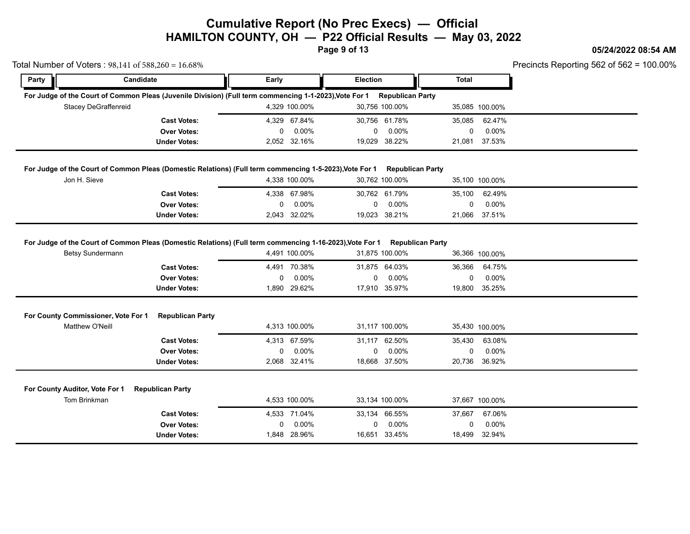**Page 9 of 13**

Total Number of Voters : 98,141 of 588,260 = 16.68%

### **05/24/2022 08:54 AM**

| Party | <b>Candidate</b>                               |                                                                                                         | Early |                                       | Election |                                         | <b>Total</b>                 |                           |  |
|-------|------------------------------------------------|---------------------------------------------------------------------------------------------------------|-------|---------------------------------------|----------|-----------------------------------------|------------------------------|---------------------------|--|
|       |                                                | For Judge of the Court of Common Pleas (Juvenile Division) (Full term commencing 1-1-2023), Vote For 1  |       |                                       |          | <b>Republican Party</b>                 |                              |                           |  |
|       | <b>Stacey DeGraffenreid</b>                    |                                                                                                         |       | 4,329 100.00%                         |          | 30,756 100.00%                          |                              | 35,085 100.00%            |  |
|       |                                                | <b>Cast Votes:</b>                                                                                      |       | 4,329 67.84%                          |          | 30,756 61.78%                           | 35,085                       | 62.47%                    |  |
|       |                                                | <b>Over Votes:</b>                                                                                      | 0     | 0.00%                                 | 0        | 0.00%                                   | 0                            | 0.00%                     |  |
|       |                                                | <b>Under Votes:</b>                                                                                     |       | 2,052 32.16%                          |          | 19,029 38.22%                           | 21,081                       | 37.53%                    |  |
|       |                                                | For Judge of the Court of Common Pleas (Domestic Relations) (Full term commencing 1-5-2023), Vote For 1 |       |                                       |          | <b>Republican Party</b>                 |                              |                           |  |
|       | Jon H. Sieve                                   |                                                                                                         |       | 4,338 100.00%                         |          | 30,762 100.00%                          |                              | 35,100 100.00%            |  |
|       |                                                | <b>Cast Votes:</b>                                                                                      | 4,338 | 67.98%                                |          | 30,762 61.79%                           | 35,100                       | 62.49%                    |  |
|       |                                                | <b>Over Votes:</b>                                                                                      | 0     | 0.00%                                 | 0        | 0.00%                                   | 0                            | 0.00%                     |  |
|       |                                                | <b>Under Votes:</b>                                                                                     |       | 2,043 32.02%                          |          | 19,023 38.21%                           | 21,066                       | 37.51%                    |  |
|       |                                                | <b>Cast Votes:</b><br><b>Over Votes:</b><br><b>Under Votes:</b>                                         | 0     | 4,491 70.38%<br>0.00%<br>1,890 29.62% | 0        | 31,875 64.03%<br>0.00%<br>17,910 35.97% | 36,366<br>$\Omega$<br>19,800 | 64.75%<br>0.00%<br>35.25% |  |
|       |                                                |                                                                                                         |       |                                       |          |                                         |                              |                           |  |
|       |                                                |                                                                                                         |       |                                       |          |                                         |                              |                           |  |
|       | For County Commissioner, Vote For 1            | <b>Republican Party</b>                                                                                 |       |                                       |          |                                         |                              |                           |  |
|       | Matthew O'Neill                                |                                                                                                         |       | 4,313 100.00%                         |          | 31,117 100.00%                          |                              | 35,430 100.00%            |  |
|       |                                                | <b>Cast Votes:</b>                                                                                      |       | 4.313 67.59%                          |          | 31,117 62.50%                           | 35,430                       | 63.08%                    |  |
|       |                                                | <b>Over Votes:</b>                                                                                      | 0     | 0.00%                                 | 0        | $0.00\%$                                | 0                            | 0.00%                     |  |
|       |                                                | <b>Under Votes:</b>                                                                                     |       | 2,068 32.41%                          |          | 18,668 37.50%                           | 20,736                       | 36.92%                    |  |
|       |                                                |                                                                                                         |       |                                       |          |                                         |                              |                           |  |
|       | For County Auditor, Vote For 1<br>Tom Brinkman | <b>Republican Party</b>                                                                                 |       | 4,533 100.00%                         |          | 33,134 100.00%                          |                              | 37,667 100.00%            |  |
|       |                                                | <b>Cast Votes:</b>                                                                                      |       | 4,533 71.04%                          |          | 33,134 66.55%                           | 37,667                       | 67.06%                    |  |
|       |                                                | <b>Over Votes:</b>                                                                                      | 0     | 0.00%                                 | 0        | 0.00%                                   | 0                            | 0.00%                     |  |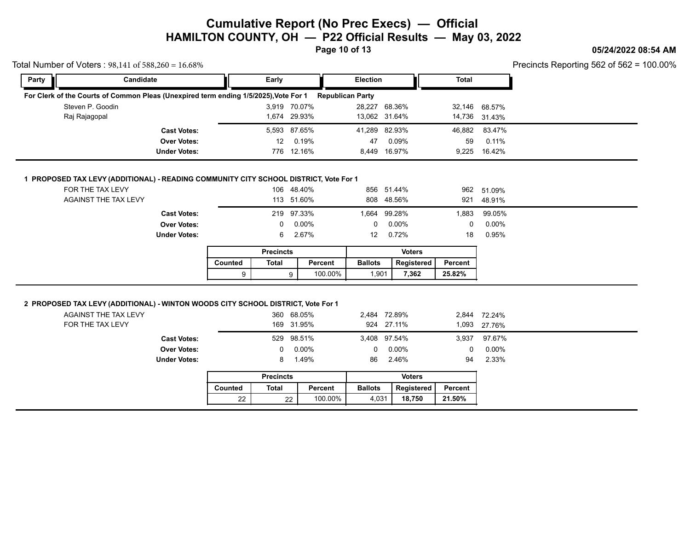### **05/24/2022 08:54 AM**

Precincts Reporting 562 of 562 = 100.00%

| Party | Candidate                                                                            | Early |              | Election                |               | Total  |               |  |
|-------|--------------------------------------------------------------------------------------|-------|--------------|-------------------------|---------------|--------|---------------|--|
|       | For Clerk of the Courts of Common Pleas (Unexpired term ending 1/5/2025), Vote For 1 |       |              | <b>Republican Party</b> |               |        |               |  |
|       | Steven P. Goodin                                                                     |       | 3.919 70.07% |                         | 28,227 68.36% |        | 32,146 68.57% |  |
|       | Raj Rajagopal                                                                        |       | 1.674 29.93% |                         | 13,062 31.64% |        | 14,736 31,43% |  |
|       | <b>Cast Votes:</b>                                                                   |       | 5,593 87.65% |                         | 41,289 82.93% | 46,882 | 83.47%        |  |
|       | <b>Over Votes:</b>                                                                   | 12    | 0.19%        | 47                      | 0.09%         | 59     | 0.11%         |  |
|       | <b>Under Votes:</b>                                                                  | 776   | 12.16%       |                         | 8,449 16.97%  |        | 9,225 16.42%  |  |

### **1 PROPOSED TAX LEVY (ADDITIONAL) - READING COMMUNITY CITY SCHOOL DISTRICT, Vote For 1**

Total Number of Voters : 98,141 of 588,260 = 16.68%

| ONUVI TULUU.                                                                     |         |                  | $11011 - 141010$ |                 | $0.110$ $0.0170$ |          | $V, L L V$ $V, T L V$ |
|----------------------------------------------------------------------------------|---------|------------------|------------------|-----------------|------------------|----------|-----------------------|
|                                                                                  |         |                  |                  |                 |                  |          |                       |
| POSED TAX LEVY (ADDITIONAL) - READING COMMUNITY CITY SCHOOL DISTRICT, Vote For 1 |         |                  |                  |                 |                  |          |                       |
| FOR THE TAX LEVY                                                                 |         |                  | 106 48.40%       |                 | 856 51.44%       | 962      | 51.09%                |
| AGAINST THE TAX LEVY                                                             |         |                  | 113 51.60%       |                 | 808 48.56%       |          | 921 48.91%            |
|                                                                                  |         |                  |                  |                 |                  |          |                       |
| <b>Cast Votes:</b>                                                               |         |                  | 219 97.33%       |                 | 1,664 99.28%     | 1,883    | 99.05%                |
| <b>Over Votes:</b>                                                               |         | 0                | 0.00%            | $\mathbf 0$     | 0.00%            | $\Omega$ | $0.00\%$              |
| <b>Under Votes:</b>                                                              |         | 6                | 2.67%            | 12 <sup>°</sup> | 0.72%            | 18       | 0.95%                 |
|                                                                                  |         | <b>Precincts</b> |                  |                 | <b>Voters</b>    |          |                       |
|                                                                                  |         |                  |                  |                 |                  |          |                       |
|                                                                                  | Counted | Total            | Percent          | <b>Ballots</b>  | Registered       | Percent  |                       |
|                                                                                  | 9       |                  | 100.00%<br>9     | 1,901           | 7,362            | 25.82%   |                       |
|                                                                                  |         |                  |                  |                 |                  |          |                       |

|         | <b>Precincts</b> |         |                | Voters     |         |  |  |
|---------|------------------|---------|----------------|------------|---------|--|--|
| Counted | Total            | Percent | <b>Ballots</b> | Reaistered | Percent |  |  |
|         |                  | 100.00% | 1.901          | 7.362      | 25.82%  |  |  |

### **2 PROPOSED TAX LEVY (ADDITIONAL) - WINTON WOODS CITY SCHOOL DISTRICT, Vote For 1**

| AGAINST THE TAX LEVY |         |                  | 360 68.05%    |                | 2,484 72.89%  |         | 2,844 72,24% |
|----------------------|---------|------------------|---------------|----------------|---------------|---------|--------------|
| FOR THE TAX LEVY     |         |                  | 169 31.95%    |                | 924 27.11%    |         | 1,093 27.76% |
| <b>Cast Votes:</b>   |         |                  | 529 98.51%    |                | 3,408 97.54%  | 3,937   | 97.67%       |
| <b>Over Votes:</b>   |         | $^{\circ}$       | $0.00\%$      | 0              | 0.00%         | 0       | $0.00\%$     |
| <b>Under Votes:</b>  |         | 8                | 1.49%         | 86             | 2.46%         | 94      | 2.33%        |
|                      |         | <b>Precincts</b> |               |                | <b>Voters</b> |         |              |
|                      | Counted | Total            | Percent       | <b>Ballots</b> | Registered    | Percent |              |
|                      | 22      |                  | 100.00%<br>22 | 4,031          | 18,750        | 21.50%  |              |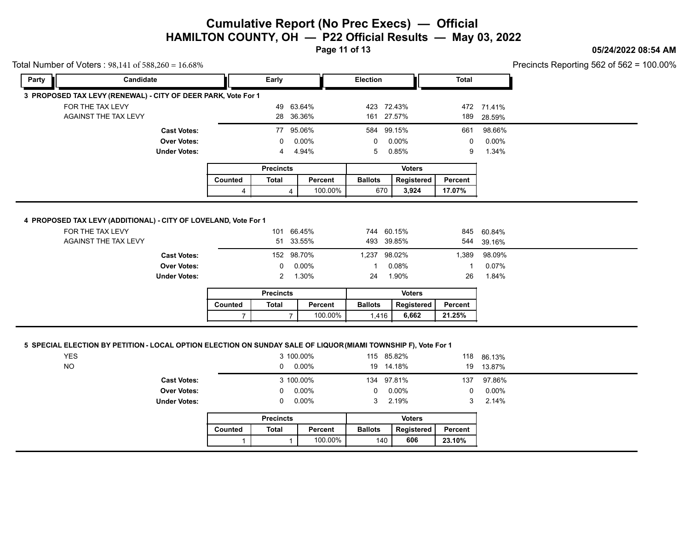**Page 11 of 13**

### **05/24/2022 08:54 AM**

Precincts Reporting 562 of 562 = 100.00%

| Total Number of Voters: $98,141$ of $588,260 = 16.68\%$         |                      |                     |         |                  |           |         |                 |               |              |            | Precincts Reporting 562 of 562 = 1 |
|-----------------------------------------------------------------|----------------------|---------------------|---------|------------------|-----------|---------|-----------------|---------------|--------------|------------|------------------------------------|
| Party                                                           | Candidate            |                     |         | Early            |           |         | <b>Election</b> |               | <b>Total</b> |            |                                    |
| 3 PROPOSED TAX LEVY (RENEWAL) - CITY OF DEER PARK, Vote For 1   |                      |                     |         |                  |           |         |                 |               |              |            |                                    |
|                                                                 | FOR THE TAX LEVY     |                     |         | 49               | 63.64%    |         | 423             | 72.43%        |              | 472 71.41% |                                    |
|                                                                 | AGAINST THE TAX LEVY |                     |         | 28               | 36.36%    |         |                 | 161 27.57%    | 189          | 28.59%     |                                    |
|                                                                 |                      | <b>Cast Votes:</b>  |         |                  | 77 95.06% |         |                 | 584 99.15%    | 661          | 98.66%     |                                    |
|                                                                 |                      | <b>Over Votes:</b>  |         | 0                | 0.00%     |         | 0               | 0.00%         | $\mathbf{0}$ | 0.00%      |                                    |
|                                                                 |                      | <b>Under Votes:</b> |         | 4                | 4.94%     |         | 5               | 0.85%         | 9            | 1.34%      |                                    |
|                                                                 |                      |                     |         | <b>Precincts</b> |           |         |                 | <b>Voters</b> |              |            |                                    |
|                                                                 |                      |                     |         |                  |           | Percent |                 | Registered    |              |            |                                    |
|                                                                 |                      |                     | Counted | <b>Total</b>     |           |         | <b>Ballots</b>  |               | Percent      |            |                                    |
|                                                                 |                      |                     | 4       |                  | 4         | 100.00% | 670             | 3,924         | 17.07%       |            |                                    |
| 4 PROPOSED TAX LEVY (ADDITIONAL) - CITY OF LOVELAND, Vote For 1 | FOR THE TAX LEVY     |                     |         | 101              | 66.45%    |         |                 | 744 60.15%    | 845          | 60.84%     |                                    |
|                                                                 | AGAINST THE TAX LEVY |                     |         | 51               | 33.55%    |         | 493             | 39.85%        | 544          | 39.16%     |                                    |
|                                                                 |                      | <b>Cast Votes:</b>  |         | 152              | 98.70%    |         |                 | 1,237 98.02%  | 1,389        | 98.09%     |                                    |
|                                                                 |                      | <b>Over Votes:</b>  |         | 0                | $0.00\%$  |         |                 | 0.08%         |              | 0.07%      |                                    |
|                                                                 |                      | <b>Under Votes:</b> |         | $\overline{2}$   | 1.30%     |         | 24              | 1.90%         | 26           | 1.84%      |                                    |
|                                                                 |                      |                     |         | <b>Precincts</b> |           |         |                 | <b>Voters</b> |              |            |                                    |
|                                                                 |                      |                     | Counted | <b>Total</b>     |           | Percent | <b>Ballots</b>  | Registered    | Percent      |            |                                    |

### **5 SPECIAL ELECTION BY PETITION - LOCAL OPTION ELECTION ON SUNDAY SALE OF LIQUOR (MIAMI TOWNSHIP F), Vote For 1**

|                     |                |                  | 3 100.00%       |                | 115 85.82%      |                | 118 86.13% |
|---------------------|----------------|------------------|-----------------|----------------|-----------------|----------------|------------|
|                     |                |                  | $0\quad 0.00\%$ |                | 19 14.18%       |                | 19 13.87%  |
| <b>Cast Votes:</b>  |                |                  | 3 100.00%       |                | 134 97.81%      | 137            | 97.86%     |
| <b>Over Votes:</b>  |                |                  | $0\quad 0.00\%$ |                | $0\quad 0.00\%$ | 0              | $0.00\%$   |
| <b>Under Votes:</b> |                |                  | $0\quad 0.00\%$ |                | 3 2.19%         | 3 <sup>1</sup> | 2.14%      |
|                     |                | <b>Precincts</b> |                 |                | <b>Voters</b>   |                |            |
|                     | <b>Counted</b> | Total            | Percent         | <b>Ballots</b> | Registered      | Percent        |            |
|                     |                |                  | 100.00%         |                | 606<br>140      | 23.10%         |            |

|         | <b>Precincts</b> |         |                | Voters     |         |  |  |
|---------|------------------|---------|----------------|------------|---------|--|--|
| Counted | Total            | Percent | <b>Ballots</b> | Registered | Percent |  |  |
|         |                  | 100.00% | 140            | 606        | 23.10%  |  |  |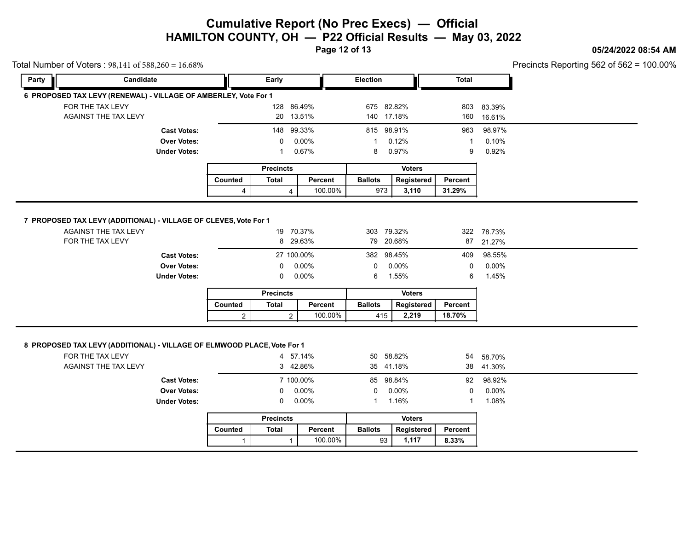**Page 12 of 13**

### **05/24/2022 08:54 AM**

|       | Total Number of Voters: 98,141 of 588,260 = 16.68%                                          |                         |                              |                    |                      |                     |                  |            | Precincts Reporting 562 of 562 = 1 |
|-------|---------------------------------------------------------------------------------------------|-------------------------|------------------------------|--------------------|----------------------|---------------------|------------------|------------|------------------------------------|
| Party | Candidate                                                                                   |                         | Early                        |                    | <b>Election</b>      |                     | <b>Total</b>     |            |                                    |
|       | 6 PROPOSED TAX LEVY (RENEWAL) - VILLAGE OF AMBERLEY, Vote For 1                             |                         |                              |                    |                      |                     |                  |            |                                    |
|       | FOR THE TAX LEVY                                                                            |                         | 128 86.49%                   |                    | 675 82.82%           |                     |                  | 803 83.39% |                                    |
|       | AGAINST THE TAX LEVY                                                                        |                         |                              | 20 13.51%          | 140 17.18%           |                     | 160              | 16.61%     |                                    |
|       | <b>Cast Votes:</b>                                                                          |                         | 148                          | 99.33%             | 815 98.91%           |                     | 963              | 98.97%     |                                    |
|       | <b>Over Votes:</b>                                                                          |                         | 0                            | 0.00%              |                      | 0.12%               | 1                | 0.10%      |                                    |
|       | <b>Under Votes:</b>                                                                         |                         | -1                           | 0.67%              | 8                    | 0.97%               | 9                | 0.92%      |                                    |
|       |                                                                                             |                         | <b>Precincts</b>             |                    |                      | <b>Voters</b>       |                  |            |                                    |
|       |                                                                                             | Counted                 | <b>Total</b>                 | Percent            | <b>Ballots</b>       | Registered          | Percent          |            |                                    |
|       |                                                                                             | 4                       | $\overline{4}$               | 100.00%            | 973                  | 3,110               | 31.29%           |            |                                    |
|       |                                                                                             |                         |                              |                    |                      |                     |                  |            |                                    |
|       | 7 PROPOSED TAX LEVY (ADDITIONAL) - VILLAGE OF CLEVES, Vote For 1                            |                         |                              |                    |                      |                     |                  |            |                                    |
|       | AGAINST THE TAX LEVY                                                                        |                         |                              | 19 70.37%          | 303 79.32%           |                     |                  | 322 78.73% |                                    |
|       | FOR THE TAX LEVY                                                                            |                         | 8                            | 29.63%             |                      | 79 20.68%           | 87               | 21.27%     |                                    |
|       | <b>Cast Votes:</b>                                                                          |                         |                              | 27 100.00%         | 382 98.45%           |                     | 409              | 98.55%     |                                    |
|       | <b>Over Votes:</b>                                                                          |                         | 0                            | 0.00%              | 0                    | 0.00%               | 0                | 0.00%      |                                    |
|       | <b>Under Votes:</b>                                                                         |                         | 0                            | 0.00%              | 6                    | 1.55%               | 6                | 1.45%      |                                    |
|       |                                                                                             |                         | <b>Precincts</b>             |                    |                      | <b>Voters</b>       |                  |            |                                    |
|       |                                                                                             | Counted                 | <b>Total</b>                 | Percent            | <b>Ballots</b>       | Registered          | Percent          |            |                                    |
|       |                                                                                             | $\overline{c}$          | $\overline{2}$               | 100.00%            | 415                  | 2,219               | 18.70%           |            |                                    |
|       |                                                                                             |                         |                              |                    |                      |                     |                  |            |                                    |
|       |                                                                                             |                         |                              |                    |                      |                     |                  |            |                                    |
|       | 8 PROPOSED TAX LEVY (ADDITIONAL) - VILLAGE OF ELMWOOD PLACE, Vote For 1<br>FOR THE TAX LEVY |                         |                              | 4 57.14%           |                      | 50 58.82%           | 54               | 58.70%     |                                    |
|       | AGAINST THE TAX LEVY                                                                        |                         |                              | 3 42.86%           |                      | 35 41.18%           |                  | 38 41.30%  |                                    |
|       | <b>Cast Votes:</b>                                                                          |                         |                              | 7 100.00%          |                      | 85 98.84%           | 92               | 98.92%     |                                    |
|       |                                                                                             |                         |                              | 0.00%              | 0                    | 0.00%               | 0                | 0.00%      |                                    |
|       |                                                                                             |                         |                              |                    |                      |                     |                  |            |                                    |
|       | <b>Over Votes:</b><br><b>Under Votes:</b>                                                   |                         | $\Omega$<br>0                | $0.00\%$           | 1                    | 1.16%               | 1                | 1.08%      |                                    |
|       |                                                                                             |                         |                              |                    |                      |                     |                  |            |                                    |
|       |                                                                                             |                         | <b>Precincts</b>             |                    |                      | <b>Voters</b>       |                  |            |                                    |
|       |                                                                                             | Counted<br>$\mathbf{1}$ | <b>Total</b><br>$\mathbf{1}$ | Percent<br>100.00% | <b>Ballots</b><br>93 | Registered<br>1,117 | Percent<br>8.33% |            |                                    |